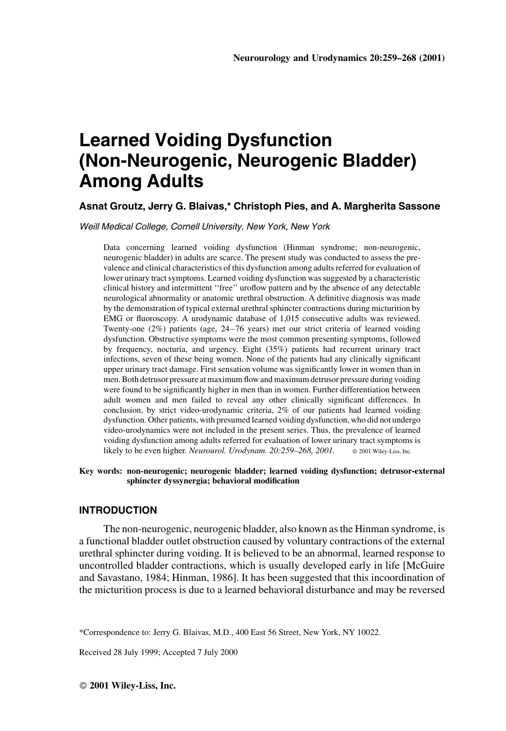# Learned Voiding Dysfunction (Non-Neurogenic, Neurogenic Bladder) Among Adults

# Asnat Groutz, Jerry G. Blaivas,\* Christoph Pies, and A. Margherita Sassone

Weill Medical College, Cornell University, New York, New York

Data concerning learned voiding dysfunction (Hinman syndrome; non-neurogenic, neurogenic bladder) in adults are scarce. The present study was conducted to assess the prevalence and clinical characteristics of this dysfunction among adults referred for evaluation of lower urinary tract symptoms. Learned voiding dysfunction was suggested by a characteristic clinical history and intermittent "free" uroflow pattern and by the absence of any detectable neurological abnormality or anatomic urethral obstruction. A definitive diagnosis was made by the demonstration of typical external urethral sphincter contractions during micturition by EMG or fluoroscopy. A urodynamic database of 1,015 consecutive adults was reviewed. Twenty-one  $(2\%)$  patients (age,  $24-76$  years) met our strict criteria of learned voiding dysfunction. Obstructive symptoms were the most common presenting symptoms, followed by frequency, nocturia, and urgency. Eight (35%) patients had recurrent urinary tract infections, seven of these being women. None of the patients had any clinically significant upper urinary tract damage. First sensation volume was significantly lower in women than in men. Both detrusor pressure at maximum flow and maximum detrusor pressure during voiding were found to be significantly higher in men than in women. Further differentiation between adult women and men failed to reveal any other clinically significant differences. In conclusion, by strict video-urodynamic criteria, 2% of our patients had learned voiding dysfunction. Other patients, with presumed learned voiding dysfunction, who did not undergo video-urodynamics were not included in the present series. Thus, the prevalence of learned voiding dysfunction among adults referred for evaluation of lower urinary tract symptoms is likely to be even higher. Neurourol. Urodynam.  $20:259-268$ , 2001.  $\otimes$  2001 Wiley-Liss, Inc.

Key words: non-neurogenic; neurogenic bladder; learned voiding dysfunction; detrusor-external sphincter dyssynergia; behavioral modification

## INTRODUCTION

The non-neurogenic, neurogenic bladder, also known as the Hinman syndrome, is a functional bladder outlet obstruction caused by voluntary contractions of the external urethral sphincter during voiding. It is believed to be an abnormal, learned response to uncontrolled bladder contractions, which is usually developed early in life [McGuire and Savastano, 1984; Hinman, 1986]. It has been suggested that this incoordination of the micturition process is due to a learned behavioral disturbance and may be reversed

Received 28 July 1999; Accepted 7 July 2000

<sup>\*</sup>Correspondence to: Jerry G. Blaivas, M.D., 400 East 56 Street, New York, NY 10022.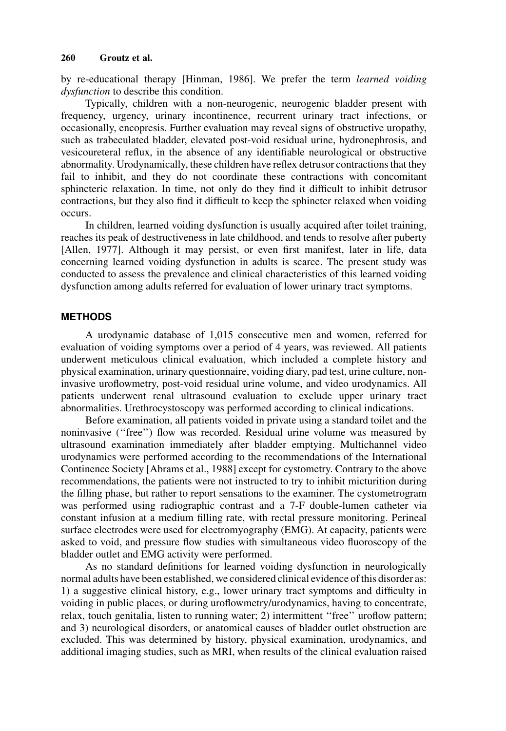by re-educational therapy [Hinman, 1986]. We prefer the term learned voiding dysfunction to describe this condition.

Typically, children with a non-neurogenic, neurogenic bladder present with frequency, urgency, urinary incontinence, recurrent urinary tract infections, or occasionally, encopresis. Further evaluation may reveal signs of obstructive uropathy, such as trabeculated bladder, elevated post-void residual urine, hydronephrosis, and vesicoureteral reflux, in the absence of any identifiable neurological or obstructive abnormality. Urodynamically, these children have reflex detrusor contractions that they fail to inhibit, and they do not coordinate these contractions with concomitant sphincteric relaxation. In time, not only do they find it difficult to inhibit detrusor contractions, but they also find it difficult to keep the sphincter relaxed when voiding occurs.

In children, learned voiding dysfunction is usually acquired after toilet training, reaches its peak of destructiveness in late childhood, and tends to resolve after puberty [Allen, 1977]. Although it may persist, or even first manifest, later in life, data concerning learned voiding dysfunction in adults is scarce. The present study was conducted to assess the prevalence and clinical characteristics of this learned voiding dysfunction among adults referred for evaluation of lower urinary tract symptoms.

# **METHODS**

A urodynamic database of 1,015 consecutive men and women, referred for evaluation of voiding symptoms over a period of 4 years, was reviewed. All patients underwent meticulous clinical evaluation, which included a complete history and physical examination, urinary questionnaire, voiding diary, pad test, urine culture, noninvasive uroflowmetry, post-void residual urine volume, and video urodynamics. All patients underwent renal ultrasound evaluation to exclude upper urinary tract abnormalities. Urethrocystoscopy was performed according to clinical indications.

Before examination, all patients voided in private using a standard toilet and the noninvasive ("free") flow was recorded. Residual urine volume was measured by ultrasound examination immediately after bladder emptying. Multichannel video urodynamics were performed according to the recommendations of the International Continence Society [Abrams et al., 1988] except for cystometry. Contrary to the above recommendations, the patients were not instructed to try to inhibit micturition during the filling phase, but rather to report sensations to the examiner. The cystometrogram was performed using radiographic contrast and a 7-F double-lumen catheter via constant infusion at a medium filling rate, with rectal pressure monitoring. Perineal surface electrodes were used for electromyography (EMG). At capacity, patients were asked to void, and pressure flow studies with simultaneous video fluoroscopy of the bladder outlet and EMG activity were performed.

As no standard definitions for learned voiding dysfunction in neurologically normal adults have been established, we considered clinical evidence of this disorder as:  $1)$  a suggestive clinical history, e.g., lower urinary tract symptoms and difficulty in voiding in public places, or during uroflowmetry/urodynamics, having to concentrate, relax, touch genitalia, listen to running water; 2) intermittent "free" uroflow pattern; and 3) neurological disorders, or anatomical causes of bladder outlet obstruction are excluded. This was determined by history, physical examination, urodynamics, and additional imaging studies, such as MRI, when results of the clinical evaluation raised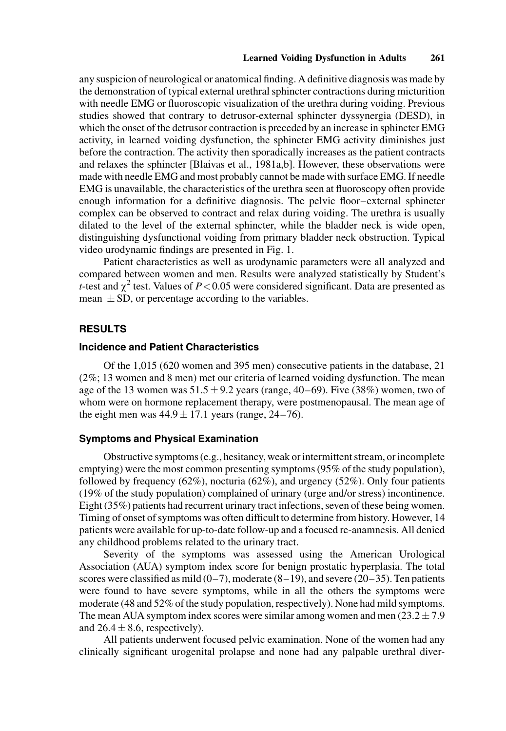any suspicion of neurological or anatomical finding. A definitive diagnosis was made by the demonstration of typical external urethral sphincter contractions during micturition with needle EMG or fluoroscopic visualization of the urethra during voiding. Previous studies showed that contrary to detrusor-external sphincter dyssynergia (DESD), in which the onset of the detrusor contraction is preceded by an increase in sphincter EMG activity, in learned voiding dysfunction, the sphincter EMG activity diminishes just before the contraction. The activity then sporadically increases as the patient contracts and relaxes the sphincter [Blaivas et al., 1981a,b]. However, these observations were made with needle EMG and most probably cannot be made with surface EMG. If needle EMG is unavailable, the characteristics of the urethra seen at fluoroscopy often provide enough information for a definitive diagnosis. The pelvic floor-external sphincter complex can be observed to contract and relax during voiding. The urethra is usually dilated to the level of the external sphincter, while the bladder neck is wide open, distinguishing dysfunctional voiding from primary bladder neck obstruction. Typical video urodynamic findings are presented in Fig. 1.

Patient characteristics as well as urodynamic parameters were all analyzed and compared between women and men. Results were analyzed statistically by Student's t-test and  $\chi^2$  test. Values of P < 0.05 were considered significant. Data are presented as mean  $\pm$  SD, or percentage according to the variables.

# RESULTS

# Incidence and Patient Characteristics

Of the 1,015 (620 women and 395 men) consecutive patients in the database, 21 (2%; 13 women and 8 men) met our criteria of learned voiding dysfunction. The mean age of the 13 women was  $51.5 \pm 9.2$  years (range, 40–69). Five (38%) women, two of whom were on hormone replacement therapy, were postmenopausal. The mean age of the eight men was  $44.9 \pm 17.1$  years (range,  $24-76$ ).

#### Symptoms and Physical Examination

Obstructive symptoms (e.g., hesitancy, weak or intermittent stream, or incomplete emptying) were the most common presenting symptoms (95% of the study population), followed by frequency  $(62\%)$ , nocturia  $(62\%)$ , and urgency  $(52\%)$ . Only four patients (19% of the study population) complained of urinary (urge and/or stress) incontinence. Eight (35%) patients had recurrent urinary tract infections, seven of these being women. Timing of onset of symptoms was often difficult to determine from history. However, 14 patients were available for up-to-date follow-up and a focused re-anamnesis. All denied any childhood problems related to the urinary tract.

Severity of the symptoms was assessed using the American Urological Association (AUA) symptom index score for benign prostatic hyperplasia. The total scores were classified as mild  $(0-7)$ , moderate  $(8-19)$ , and severe  $(20-35)$ . Ten patients were found to have severe symptoms, while in all the others the symptoms were moderate (48 and 52% of the study population, respectively). None had mild symptoms. The mean AUA symptom index scores were similar among women and men  $(23.2 \pm 7.9$ and  $26.4 \pm 8.6$ , respectively).

All patients underwent focused pelvic examination. None of the women had any clinically significant urogenital prolapse and none had any palpable urethral diver-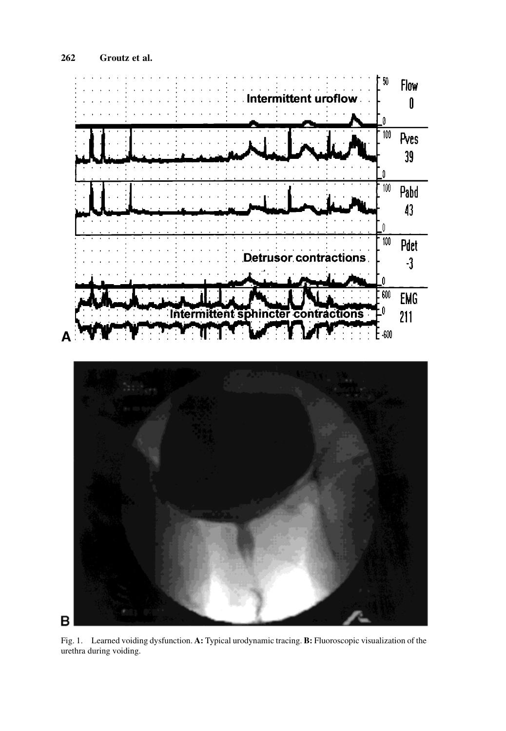

Fig. 1. Learned voiding dysfunction. A: Typical urodynamic tracing. B: Fluoroscopic visualization of the urethra during voiding.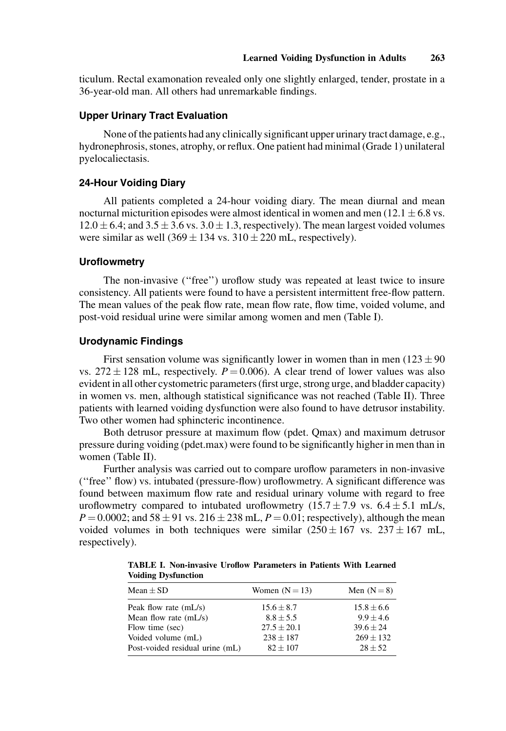ticulum. Rectal examonation revealed only one slightly enlarged, tender, prostate in a 36-year-old man. All others had unremarkable findings.

# Upper Urinary Tract Evaluation

None of the patients had any clinically significant upper urinary tract damage, e.g., hydronephrosis, stones, atrophy, or reflux. One patient had minimal (Grade 1) unilateral pyelocaliectasis.

## 24-Hour Voiding Diary

All patients completed a 24-hour voiding diary. The mean diurnal and mean nocturnal micturition episodes were almost identical in women and men (12.1  $\pm$  6.8 vs.  $12.0 \pm 6.4$ ; and  $3.5 \pm 3.6$  vs.  $3.0 \pm 1.3$ , respectively). The mean largest voided volumes were similar as well  $(369 \pm 134 \text{ vs. } 310 \pm 220 \text{ mL}, \text{respectively}).$ 

## **Uroflowmetry**

The non-invasive ("free") uroflow study was repeated at least twice to insure consistency. All patients were found to have a persistent intermittent free-flow pattern. The mean values of the peak flow rate, mean flow rate, flow time, voided volume, and post-void residual urine were similar among women and men (Table I).

#### Urodynamic Findings

First sensation volume was significantly lower in women than in men ( $123 \pm 90$ ) vs.  $272 \pm 128$  mL, respectively.  $P = 0.006$ . A clear trend of lower values was also evident in all other cystometric parameters (first urge, strong urge, and bladder capacity) in women vs. men, although statistical significance was not reached (Table II). Three patients with learned voiding dysfunction were also found to have detrusor instability. Two other women had sphincteric incontinence.

Both detrusor pressure at maximum flow (pdet. Qmax) and maximum detrusor pressure during voiding (pdet.max) were found to be significantly higher in men than in women (Table II).

Further analysis was carried out to compare uroflow parameters in non-invasive  $'$ ("free" flow) vs. intubated (pressure-flow) uroflowmetry. A significant difference was found between maximum flow rate and residual urinary volume with regard to free uroflowmetry compared to intubated uroflowmetry  $(15.7 \pm 7.9 \text{ vs. } 6.4 \pm 5.1 \text{ mL/s})$ ,  $P = 0.0002$ ; and  $58 \pm 91$  vs.  $216 \pm 238$  mL,  $P = 0.01$ ; respectively), although the mean voided volumes in both techniques were similar  $(250 \pm 167 \text{ vs. } 237 \pm 167 \text{ mL})$ , respectively).

TABLE I. Non-invasive Uroflow Parameters in Patients With Learned Voiding Dysfunction

| Mean $\pm$ SD                   | Women $(N = 13)$ | Men $(N=8)$    |
|---------------------------------|------------------|----------------|
| Peak flow rate $(mL/s)$         | $15.6 \pm 8.7$   | $15.8 \pm 6.6$ |
| Mean flow rate $(mL/s)$         | $8.8 \pm 5.5$    | $9.9 + 4.6$    |
| Flow time (sec)                 | $27.5 \pm 20.1$  | $39.6 \pm 24$  |
| Voided volume (mL)              | $238 \pm 187$    | $269 \pm 132$  |
| Post-voided residual urine (mL) | $82 \pm 107$     | $28 \pm 52$    |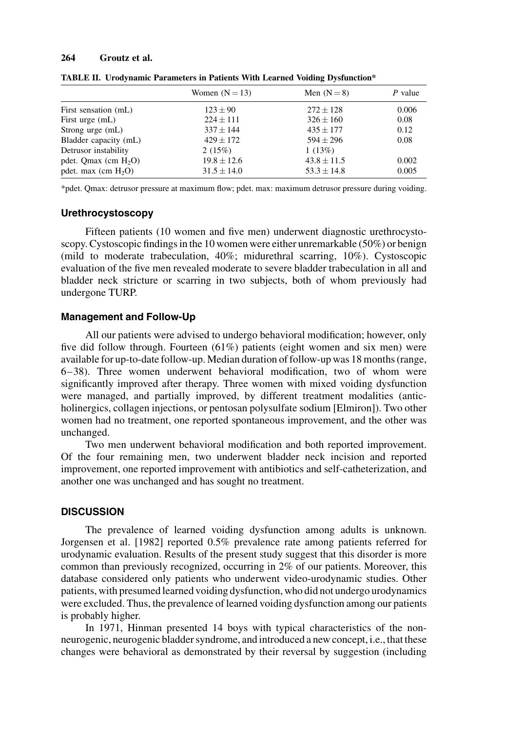#### 264 Groutz et al.

|                        | Women $(N = 13)$ | Men $(N=8)$     | P value |
|------------------------|------------------|-----------------|---------|
| First sensation (mL)   | $123 \pm 90$     | $272 + 128$     | 0.006   |
| First urge (mL)        | $224 \pm 111$    | $326 \pm 160$   | 0.08    |
| Strong urge (mL)       | $337 + 144$      | $435 + 177$     | 0.12    |
| Bladder capacity (mL)  | $429 \pm 172$    | $594 + 296$     | 0.08    |
| Detrusor instability   | 2(15%)           | 1(13%)          |         |
| pdet. Qmax $(cm H2O)$  | $19.8 \pm 12.6$  | $43.8 \pm 11.5$ | 0.002   |
| pdet. max (cm $H_2O$ ) | $31.5 \pm 14.0$  | $53.3 \pm 14.8$ | 0.005   |

TABLE II. Urodynamic Parameters in Patients With Learned Voiding Dysfunction\*

\*pdet. Qmax: detrusor pressure at maximum ¯ow; pdet. max: maximum detrusor pressure during voiding.

#### Urethrocystoscopy

Fifteen patients (10 women and five men) underwent diagnostic urethrocystoscopy. Cystoscopic findings in the 10 women were either unremarkable  $(50\%)$  or benign (mild to moderate trabeculation, 40%; midurethral scarring, 10%). Cystoscopic evaluation of the five men revealed moderate to severe bladder trabeculation in all and bladder neck stricture or scarring in two subjects, both of whom previously had undergone TURP.

## Management and Follow-Up

All our patients were advised to undergo behavioral modification; however, only five did follow through. Fourteen  $(61%)$  patients (eight women and six men) were available for up-to-date follow-up. Median duration of follow-up was 18 months (range,  $6-38$ ). Three women underwent behavioral modification, two of whom were significantly improved after therapy. Three women with mixed voiding dysfunction were managed, and partially improved, by different treatment modalities (anticholinergics, collagen injections, or pentosan polysulfate sodium [Elmiron]). Two other women had no treatment, one reported spontaneous improvement, and the other was unchanged.

Two men underwent behavioral modification and both reported improvement. Of the four remaining men, two underwent bladder neck incision and reported improvement, one reported improvement with antibiotics and self-catheterization, and another one was unchanged and has sought no treatment.

## **DISCUSSION**

The prevalence of learned voiding dysfunction among adults is unknown. Jorgensen et al. [1982] reported 0.5% prevalence rate among patients referred for urodynamic evaluation. Results of the present study suggest that this disorder is more common than previously recognized, occurring in 2% of our patients. Moreover, this database considered only patients who underwent video-urodynamic studies. Other patients, with presumed learned voiding dysfunction, who did not undergo urodynamics were excluded. Thus, the prevalence of learned voiding dysfunction among our patients is probably higher.

In 1971, Hinman presented 14 boys with typical characteristics of the nonneurogenic, neurogenic bladder syndrome, and introduced a new concept, i.e., that these changes were behavioral as demonstrated by their reversal by suggestion (including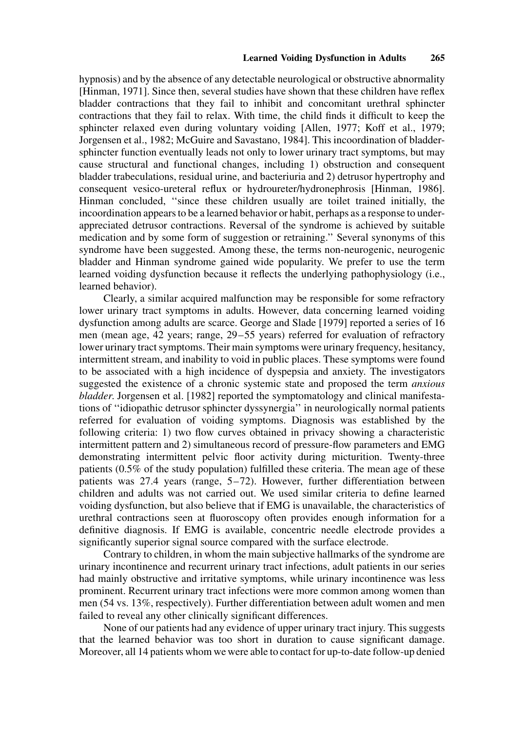hypnosis) and by the absence of any detectable neurological or obstructive abnormality [Hinman, 1971]. Since then, several studies have shown that these children have reflex bladder contractions that they fail to inhibit and concomitant urethral sphincter contractions that they fail to relax. With time, the child finds it difficult to keep the sphincter relaxed even during voluntary voiding [Allen, 1977; Koff et al., 1979; Jorgensen et al., 1982; McGuire and Savastano, 1984]. This incoordination of bladdersphincter function eventually leads not only to lower urinary tract symptoms, but may cause structural and functional changes, including 1) obstruction and consequent bladder trabeculations, residual urine, and bacteriuria and 2) detrusor hypertrophy and consequent vesico-ureteral reflux or hydroureter/hydronephrosis [Hinman, 1986]. Hinman concluded, "since these children usually are toilet trained initially, the incoordination appears to be a learned behavior or habit, perhaps as a response to underappreciated detrusor contractions. Reversal of the syndrome is achieved by suitable medication and by some form of suggestion or retraining.'' Several synonyms of this syndrome have been suggested. Among these, the terms non-neurogenic, neurogenic bladder and Hinman syndrome gained wide popularity. We prefer to use the term learned voiding dysfunction because it reflects the underlying pathophysiology (i.e., learned behavior).

Clearly, a similar acquired malfunction may be responsible for some refractory lower urinary tract symptoms in adults. However, data concerning learned voiding dysfunction among adults are scarce. George and Slade [1979] reported a series of 16 men (mean age,  $42$  years; range,  $29-55$  years) referred for evaluation of refractory lower urinary tract symptoms. Their main symptoms were urinary frequency, hesitancy, intermittent stream, and inability to void in public places. These symptoms were found to be associated with a high incidence of dyspepsia and anxiety. The investigators suggested the existence of a chronic systemic state and proposed the term *anxious* bladder. Jorgensen et al. [1982] reported the symptomatology and clinical manifestations of ``idiopathic detrusor sphincter dyssynergia'' in neurologically normal patients referred for evaluation of voiding symptoms. Diagnosis was established by the following criteria: 1) two flow curves obtained in privacy showing a characteristic intermittent pattern and 2) simultaneous record of pressure-flow parameters and EMG demonstrating intermittent pelvic floor activity during micturition. Twenty-three patients  $(0.5\%$  of the study population) fulfilled these criteria. The mean age of these patients was  $27.4$  years (range,  $5-72$ ). However, further differentiation between children and adults was not carried out. We used similar criteria to define learned voiding dysfunction, but also believe that if EMG is unavailable, the characteristics of urethral contractions seen at fluoroscopy often provides enough information for a definitive diagnosis. If EMG is available, concentric needle electrode provides a significantly superior signal source compared with the surface electrode.

Contrary to children, in whom the main subjective hallmarks of the syndrome are urinary incontinence and recurrent urinary tract infections, adult patients in our series had mainly obstructive and irritative symptoms, while urinary incontinence was less prominent. Recurrent urinary tract infections were more common among women than men (54 vs. 13%, respectively). Further differentiation between adult women and men failed to reveal any other clinically significant differences.

None of our patients had any evidence of upper urinary tract injury. This suggests that the learned behavior was too short in duration to cause significant damage. Moreover, all 14 patients whom we were able to contact for up-to-date follow-up denied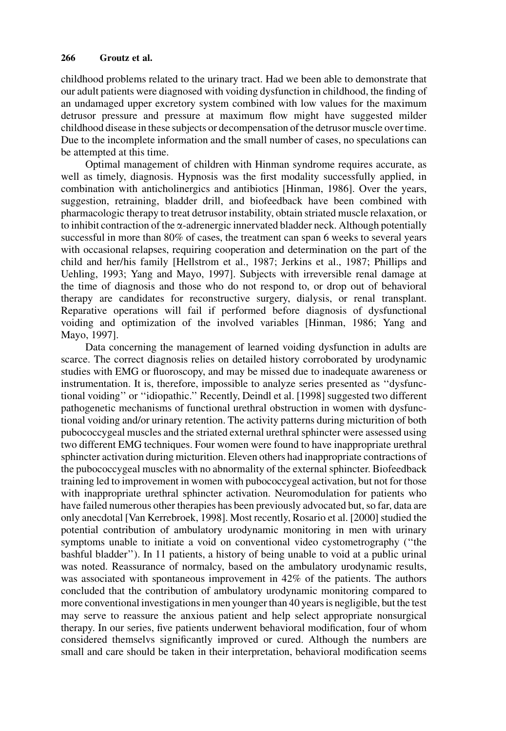childhood problems related to the urinary tract. Had we been able to demonstrate that our adult patients were diagnosed with voiding dysfunction in childhood, the finding of an undamaged upper excretory system combined with low values for the maximum detrusor pressure and pressure at maximum flow might have suggested milder childhood disease in these subjects or decompensation of the detrusor muscle over time. Due to the incomplete information and the small number of cases, no speculations can be attempted at this time.

Optimal management of children with Hinman syndrome requires accurate, as well as timely, diagnosis. Hypnosis was the first modality successfully applied, in combination with anticholinergics and antibiotics [Hinman, 1986]. Over the years, suggestion, retraining, bladder drill, and biofeedback have been combined with pharmacologic therapy to treat detrusor instability, obtain striated muscle relaxation, or to inhibit contraction of the  $\alpha$ -adrenergic innervated bladder neck. Although potentially successful in more than 80% of cases, the treatment can span 6 weeks to several years with occasional relapses, requiring cooperation and determination on the part of the child and her/his family [Hellstrom et al., 1987; Jerkins et al., 1987; Phillips and Uehling, 1993; Yang and Mayo, 1997]. Subjects with irreversible renal damage at the time of diagnosis and those who do not respond to, or drop out of behavioral therapy are candidates for reconstructive surgery, dialysis, or renal transplant. Reparative operations will fail if performed before diagnosis of dysfunctional voiding and optimization of the involved variables [Hinman, 1986; Yang and Mayo, 1997].

Data concerning the management of learned voiding dysfunction in adults are scarce. The correct diagnosis relies on detailed history corroborated by urodynamic studies with EMG or fluoroscopy, and may be missed due to inadequate awareness or instrumentation. It is, therefore, impossible to analyze series presented as "dysfunctional voiding" or "idiopathic." Recently, Deindl et al. [1998] suggested two different pathogenetic mechanisms of functional urethral obstruction in women with dysfunctional voiding and/or urinary retention. The activity patterns during micturition of both pubococcygeal muscles and the striated external urethral sphincter were assessed using two different EMG techniques. Four women were found to have inappropriate urethral sphincter activation during micturition. Eleven others had inappropriate contractions of the pubococcygeal muscles with no abnormality of the external sphincter. Biofeedback training led to improvement in women with pubococcygeal activation, but not for those with inappropriate urethral sphincter activation. Neuromodulation for patients who have failed numerous other therapies has been previously advocated but, so far, data are only anecdotal [Van Kerrebroek, 1998]. Most recently, Rosario et al. [2000] studied the potential contribution of ambulatory urodynamic monitoring in men with urinary symptoms unable to initiate a void on conventional video cystometrography ("the bashful bladder''). In 11 patients, a history of being unable to void at a public urinal was noted. Reassurance of normalcy, based on the ambulatory urodynamic results, was associated with spontaneous improvement in 42% of the patients. The authors concluded that the contribution of ambulatory urodynamic monitoring compared to more conventional investigations in men younger than 40 years is negligible, but the test may serve to reassure the anxious patient and help select appropriate nonsurgical therapy. In our series, five patients underwent behavioral modification, four of whom considered themselvs significantly improved or cured. Although the numbers are small and care should be taken in their interpretation, behavioral modification seems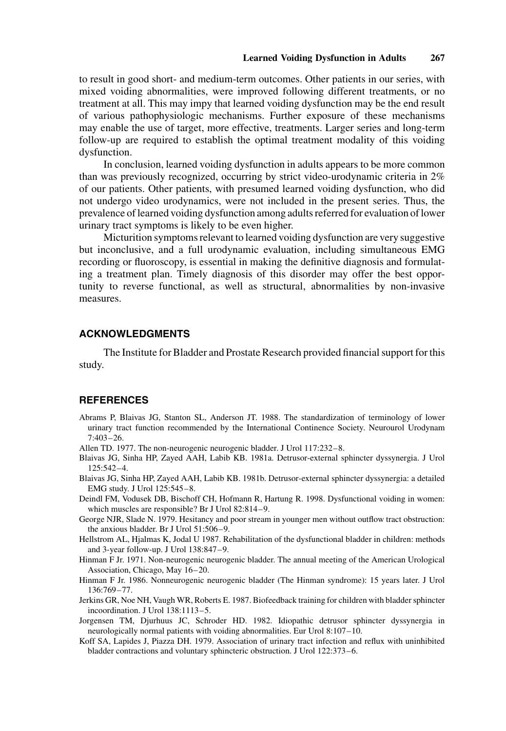to result in good short- and medium-term outcomes. Other patients in our series, with mixed voiding abnormalities, were improved following different treatments, or no treatment at all. This may impy that learned voiding dysfunction may be the end result of various pathophysiologic mechanisms. Further exposure of these mechanisms may enable the use of target, more effective, treatments. Larger series and long-term follow-up are required to establish the optimal treatment modality of this voiding dysfunction.

In conclusion, learned voiding dysfunction in adults appears to be more common than was previously recognized, occurring by strict video-urodynamic criteria in 2% of our patients. Other patients, with presumed learned voiding dysfunction, who did not undergo video urodynamics, were not included in the present series. Thus, the prevalence of learned voiding dysfunction among adults referred for evaluation of lower urinary tract symptoms is likely to be even higher.

Micturition symptoms relevant to learned voiding dysfunction are very suggestive but inconclusive, and a full urodynamic evaluation, including simultaneous EMG recording or fluoroscopy, is essential in making the definitive diagnosis and formulating a treatment plan. Timely diagnosis of this disorder may offer the best opportunity to reverse functional, as well as structural, abnormalities by non-invasive measures.

# ACKNOWLEDGMENTS

The Institute for Bladder and Prostate Research provided financial support for this study.

# **REFERENCES**

- Abrams P, Blaivas JG, Stanton SL, Anderson JT. 1988. The standardization of terminology of lower urinary tract function recommended by the International Continence Society. Neurourol Urodynam 7:403±26.
- Allen TD. 1977. The non-neurogenic neurogenic bladder. J Urol 117:232-8.
- Blaivas JG, Sinha HP, Zayed AAH, Labib KB. 1981a. Detrusor-external sphincter dyssynergia. J Urol 125:542±4.
- Blaivas JG, Sinha HP, Zayed AAH, Labib KB. 1981b. Detrusor-external sphincter dyssynergia: a detailed EMG study. J Urol 125:545-8.
- Deindl FM, Vodusek DB, Bischoff CH, Hofmann R, Hartung R. 1998. Dysfunctional voiding in women: which muscles are responsible? Br J Urol  $82:814-9$ .
- George NJR, Slade N. 1979. Hesitancy and poor stream in younger men without outflow tract obstruction: the anxious bladder. Br J Urol  $51:506-9$ .
- Hellstrom AL, Hjalmas K, Jodal U 1987. Rehabilitation of the dysfunctional bladder in children: methods and 3-year follow-up. J Urol  $138:847-9$ .
- Hinman F Jr. 1971. Non-neurogenic neurogenic bladder. The annual meeting of the American Urological Association, Chicago, May 16-20.
- Hinman F Jr. 1986. Nonneurogenic neurogenic bladder (The Hinman syndrome): 15 years later. J Urol 136:769±77.
- Jerkins GR, Noe NH, Vaugh WR, Roberts E. 1987. Biofeedback training for children with bladder sphincter incoordination. J Urol 138:1113-5.
- Jorgensen TM, Djurhuus JC, Schroder HD. 1982. Idiopathic detrusor sphincter dyssynergia in neurologically normal patients with voiding abnormalities. Eur Urol 8:107-10.
- Koff SA, Lapides J, Piazza DH. 1979. Association of urinary tract infection and reflux with uninhibited bladder contractions and voluntary sphincteric obstruction. J Urol 122:373-6.